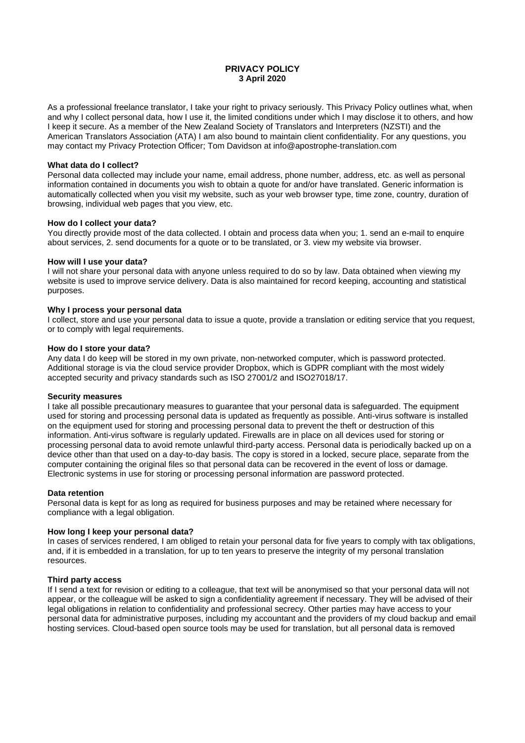# **PRIVACY POLICY 3 April 2020**

As a professional freelance translator, I take your right to privacy seriously. This Privacy Policy outlines what, when and why I collect personal data, how I use it, the limited conditions under which I may disclose it to others, and how I keep it secure. As a member of the New Zealand Society of Translators and Interpreters (NZSTI) and the American Translators Association (ATA) I am also bound to maintain client confidentiality. For any questions, you may contact my Privacy Protection Officer; Tom Davidson at [info@apostrophe-translation.com](mailto:info@apostrophe-translation.com)

# **What data do I collect?**

Personal data collected may include your name, email address, phone number, address, etc. as well as personal information contained in documents you wish to obtain a quote for and/or have translated. Generic information is automatically collected when you visit my website, such as your web browser type, time zone, country, duration of browsing, individual web pages that you view, etc.

## **How do I collect your data?**

You directly provide most of the data collected. I obtain and process data when you; 1, send an e-mail to enquire about services, 2. send documents for a quote or to be translated, or 3. view my website via browser.

# **How will I use your data?**

I will not share your personal data with anyone unless required to do so by law. Data obtained when viewing my website is used to improve service delivery. Data is also maintained for record keeping, accounting and statistical purposes.

## **Why I process your personal data**

I collect, store and use your personal data to issue a quote, provide a translation or editing service that you request, or to comply with legal requirements.

## **How do I store your data?**

Any data I do keep will be stored in my own private, non-networked computer, which is password protected. Additional storage is via the cloud service provider Dropbox, which is GDPR compliant with the most widely accepted security and privacy standards such as ISO 27001/2 and ISO27018/17.

## **Security measures**

I take all possible precautionary measures to guarantee that your personal data is safeguarded. The equipment used for storing and processing personal data is updated as frequently as possible. Anti-virus software is installed on the equipment used for storing and processing personal data to prevent the theft or destruction of this information. Anti-virus software is regularly updated. Firewalls are in place on all devices used for storing or processing personal data to avoid remote unlawful third-party access. Personal data is periodically backed up on a device other than that used on a day-to-day basis. The copy is stored in a locked, secure place, separate from the computer containing the original files so that personal data can be recovered in the event of loss or damage. Electronic systems in use for storing or processing personal information are password protected.

## **Data retention**

Personal data is kept for as long as required for business purposes and may be retained where necessary for compliance with a legal obligation.

## **How long I keep your personal data?**

In cases of services rendered, I am obliged to retain your personal data for five years to comply with tax obligations, and, if it is embedded in a translation, for up to ten years to preserve the integrity of my personal translation resources.

# **Third party access**

If I send a text for revision or editing to a colleague, that text will be anonymised so that your personal data will not appear, or the colleague will be asked to sign a confidentiality agreement if necessary. They will be advised of their legal obligations in relation to confidentiality and professional secrecy. Other parties may have access to your personal data for administrative purposes, including my accountant and the providers of my cloud backup and email hosting services. Cloud-based open source tools may be used for translation, but all personal data is removed